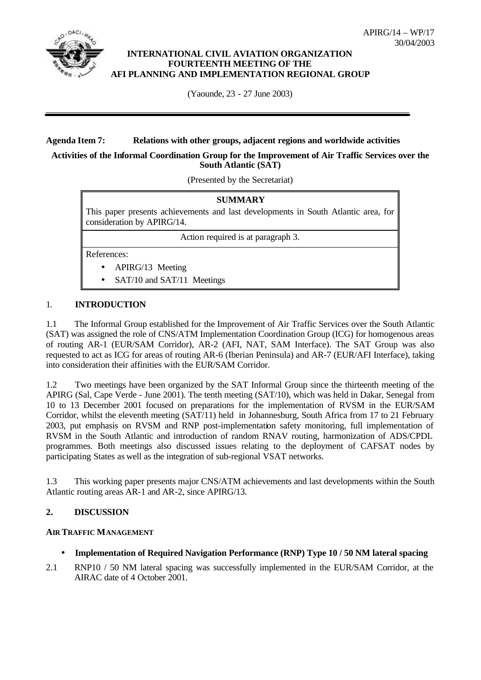

### **INTERNATIONAL CIVIL AVIATION ORGANIZATION FOURTEENTH MEETING OF THE AFI PLANNING AND IMPLEMENTATION REGIONAL GROUP**

(Yaounde, 23 - 27 June 2003)

### **Agenda Item 7: Relations with other groups, adjacent regions and worldwide activities**

#### **Activities of the Informal Coordination Group for the Improvement of Air Traffic Services over the South Atlantic (SAT)**

(Presented by the Secretariat)

| <b>SUMMARY</b>                                                                                                   |                              |
|------------------------------------------------------------------------------------------------------------------|------------------------------|
| This paper presents achievements and last developments in South Atlantic area, for<br>consideration by APIRG/14. |                              |
| Action required is at paragraph 3.                                                                               |                              |
| References:                                                                                                      |                              |
| $\bullet$                                                                                                        | APIRG/13 Meeting             |
|                                                                                                                  | • SAT/10 and SAT/11 Meetings |

### 1. **INTRODUCTION**

1.1 The Informal Group established for the Improvement of Air Traffic Services over the South Atlantic (SAT) was assigned the role of CNS/ATM Implementation Coordination Group (ICG) for homogenous areas of routing AR-1 (EUR/SAM Corridor), AR-2 (AFI, NAT, SAM Interface). The SAT Group was also requested to act as ICG for areas of routing AR-6 (Iberian Peninsula) and AR-7 (EUR/AFI Interface), taking into consideration their affinities with the EUR/SAM Corridor.

1.2 Two meetings have been organized by the SAT Informal Group since the thirteenth meeting of the APIRG (Sal, Cape Verde - June 2001). The tenth meeting (SAT/10), which was held in Dakar, Senegal from 10 to 13 December 2001 focused on preparations for the implementation of RVSM in the EUR/SAM Corridor, whilst the eleventh meeting (SAT/11) held in Johannesburg, South Africa from 17 to 21 February 2003, put emphasis on RVSM and RNP post-implementation safety monitoring, full implementation of RVSM in the South Atlantic and introduction of random RNAV routing, harmonization of ADS/CPDL programmes. Both meetings also discussed issues relating to the deployment of CAFSAT nodes by participating States as well as the integration of sub-regional VSAT networks.

1.3 This working paper presents major CNS/ATM achievements and last developments within the South Atlantic routing areas AR-1 and AR-2, since APIRG/13.

# **2. DISCUSSION**

#### **AIR TRAFFIC MANAGEMENT**

- **Implementation of Required Navigation Performance (RNP) Type 10 / 50 NM lateral spacing**
- 2.1 RNP10 / 50 NM lateral spacing was successfully implemented in the EUR/SAM Corridor, at the AIRAC date of 4 October 2001.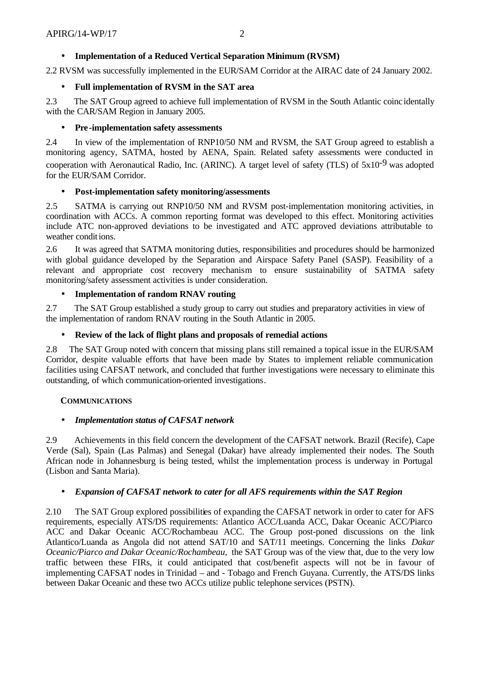# • **Implementation of a Reduced Vertical Separation Minimum (RVSM)**

2.2 RVSM was successfully implemented in the EUR/SAM Corridor at the AIRAC date of 24 January 2002.

## • **Full implementation of RVSM in the SAT area**

2.3 The SAT Group agreed to achieve full implementation of RVSM in the South Atlantic coinc identally with the CAR/SAM Region in January 2005.

## • **Pre-implementation safety assessments**

2.4 In view of the implementation of RNP10/50 NM and RVSM, the SAT Group agreed to establish a monitoring agency, SATMA, hosted by AENA, Spain. Related safety assessments were conducted in cooperation with Aeronautical Radio, Inc. (ARINC). A target level of safety (TLS) of  $5x10^{-9}$  was adopted for the EUR/SAM Corridor.

### • **Post-implementation safety monitoring/assessments**

2.5 SATMA is carrying out RNP10/50 NM and RVSM post-implementation monitoring activities, in coordination with ACCs. A common reporting format was developed to this effect. Monitoring activities include ATC non-approved deviations to be investigated and ATC approved deviations attributable to weather conditions.

2.6 It was agreed that SATMA monitoring duties, responsibilities and procedures should be harmonized with global guidance developed by the Separation and Airspace Safety Panel (SASP). Feasibility of a relevant and appropriate cost recovery mechanism to ensure sustainability of SATMA safety monitoring/safety assessment activities is under consideration.

### • **Implementation of random RNAV routing**

2.7 The SAT Group established a study group to carry out studies and preparatory activities in view of the implementation of random RNAV routing in the South Atlantic in 2005.

### • **Review of the lack of flight plans and proposals of remedial actions**

2.8 The SAT Group noted with concern that missing plans still remained a topical issue in the EUR/SAM Corridor, despite valuable efforts that have been made by States to implement reliable communication facilities using CAFSAT network, and concluded that further investigations were necessary to eliminate this outstanding, of which communication-oriented investigations.

#### **COMMUNICATIONS**

#### • *Implementation status of CAFSAT network*

2.9 Achievements in this field concern the development of the CAFSAT network. Brazil (Recife), Cape Verde (Sal), Spain (Las Palmas) and Senegal (Dakar) have already implemented their nodes. The South African node in Johannesburg is being tested, whilst the implementation process is underway in Portugal (Lisbon and Santa Maria).

#### • *Expansion of CAFSAT network to cater for all AFS requirements within the SAT Region*

2.10 The SAT Group explored possibilities of expanding the CAFSAT network in order to cater for AFS requirements, especially ATS/DS requirements: Atlantico ACC/Luanda ACC, Dakar Oceanic ACC/Piarco ACC and Dakar Oceanic ACC/Rochambeau ACC. The Group post-poned discussions on the link Atlantico/Luanda as Angola did not attend SAT/10 and SAT/11 meetings. Concerning the links *Dakar Oceanic/Piarco and Dakar Oceanic/Rochambeau,* the SAT Group was of the view that, due to the very low traffic between these FIRs, it could anticipated that cost/benefit aspects will not be in favour of implementing CAFSAT nodes in Trinidad – and - Tobago and French Guyana. Currently, the ATS/DS links between Dakar Oceanic and these two ACCs utilize public telephone services (PSTN).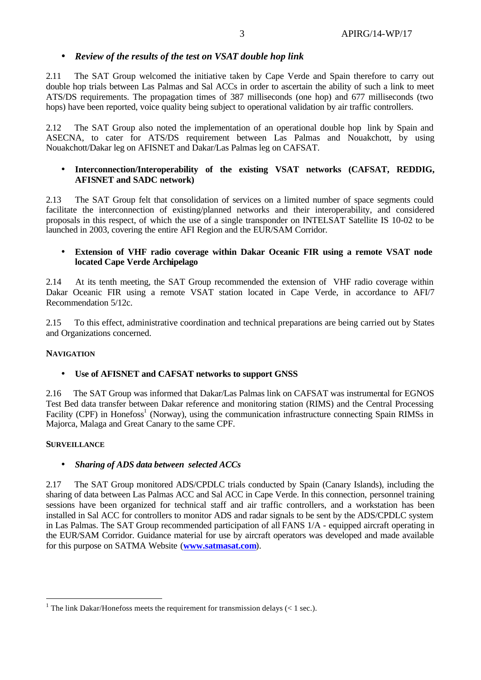# • *Review of the results of the test on VSAT double hop link*

2.11 The SAT Group welcomed the initiative taken by Cape Verde and Spain therefore to carry out double hop trials between Las Palmas and Sal ACCs in order to ascertain the ability of such a link to meet ATS/DS requirements. The propagation times of 387 milliseconds (one hop) and 677 milliseconds (two hops) have been reported, voice quality being subject to operational validation by air traffic controllers.

2.12 The SAT Group also noted the implementation of an operational double hop link by Spain and ASECNA, to cater for ATS/DS requirement between Las Palmas and Nouakchott, by using Nouakchott/Dakar leg on AFISNET and Dakar/Las Palmas leg on CAFSAT.

#### • **Interconnection/Interoperability of the existing VSAT networks (CAFSAT, REDDIG, AFISNET and SADC network)**

2.13 The SAT Group felt that consolidation of services on a limited number of space segments could facilitate the interconnection of existing/planned networks and their interoperability, and considered proposals in this respect, of which the use of a single transponder on INTELSAT Satellite IS 10-02 to be launched in 2003, covering the entire AFI Region and the EUR/SAM Corridor.

### • **Extension of VHF radio coverage within Dakar Oceanic FIR using a remote VSAT node located Cape Verde Archipelago**

2.14 At its tenth meeting, the SAT Group recommended the extension of VHF radio coverage within Dakar Oceanic FIR using a remote VSAT station located in Cape Verde, in accordance to AFI/7 Recommendation 5/12c.

2.15 To this effect, administrative coordination and technical preparations are being carried out by States and Organizations concerned.

#### **NAVIGATION**

# • **Use of AFISNET and CAFSAT networks to support GNSS**

2.16 The SAT Group was informed that Dakar/Las Palmas link on CAFSAT was instrumental for EGNOS Test Bed data transfer between Dakar reference and monitoring station (RIMS) and the Central Processing Facility (CPF) in Honefoss<sup>1</sup> (Norway), using the communication infrastructure connecting Spain RIMSs in Majorca, Malaga and Great Canary to the same CPF.

#### **SURVEILLANCE**

l

# • *Sharing of ADS data between selected ACCs*

2.17 The SAT Group monitored ADS/CPDLC trials conducted by Spain (Canary Islands), including the sharing of data between Las Palmas ACC and Sal ACC in Cape Verde. In this connection, personnel training sessions have been organized for technical staff and air traffic controllers, and a workstation has been installed in Sal ACC for controllers to monitor ADS and radar signals to be sent by the ADS/CPDLC system in Las Palmas. The SAT Group recommended participation of all FANS 1/A - equipped aircraft operating in the EUR/SAM Corridor. Guidance material for use by aircraft operators was developed and made available for this purpose on SATMA Website (**www.satmasat.com**).

<sup>&</sup>lt;sup>1</sup> The link Dakar/Honefoss meets the requirement for transmission delays (< 1 sec.).